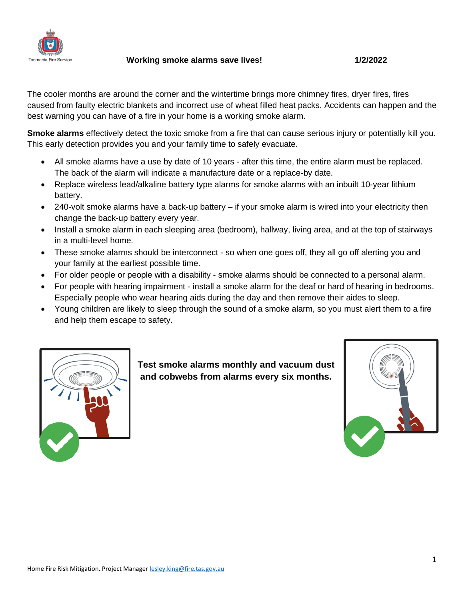

 **Working smoke alarms save lives! 1/2/2022**

The cooler months are around the corner and the wintertime brings more chimney fires, dryer fires, fires caused from faulty electric blankets and incorrect use of wheat filled heat packs. Accidents can happen and the best warning you can have of a fire in your home is a working smoke alarm.

**Smoke alarms** effectively detect the toxic smoke from a fire that can cause serious injury or potentially kill you. This early detection provides you and your family time to safely evacuate.

- All smoke alarms have a use by date of 10 years after this time, the entire alarm must be replaced. The back of the alarm will indicate a manufacture date or a replace-by date.
- Replace wireless lead/alkaline battery type alarms for smoke alarms with an inbuilt 10-year lithium battery.
- 240-volt smoke alarms have a back-up battery if your smoke alarm is wired into your electricity then change the back-up battery every year.
- Install a smoke alarm in each sleeping area (bedroom), hallway, living area, and at the top of stairways in a multi-level home.
- These smoke alarms should be interconnect so when one goes off, they all go off alerting you and your family at the earliest possible time.
- For older people or people with a disability smoke alarms should be connected to a personal alarm.
- For people with hearing impairment install a smoke alarm for the deaf or hard of hearing in bedrooms. Especially people who wear hearing aids during the day and then remove their aides to sleep.
- Young children are likely to sleep through the sound of a smoke alarm, so you must alert them to a fire and help them escape to safety.



**Test smoke alarms monthly and vacuum dust and cobwebs from alarms every six months.**